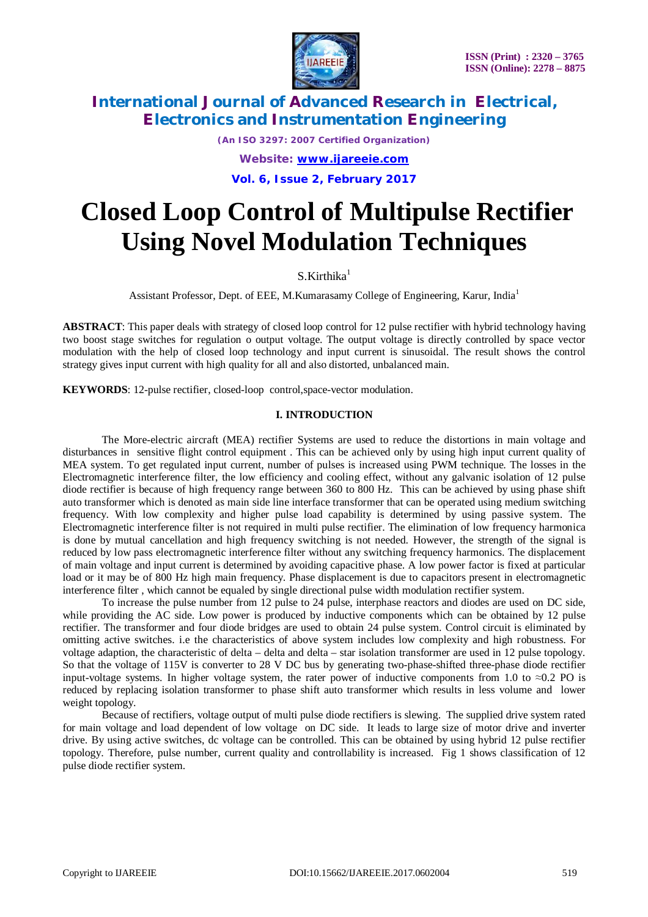

*(An ISO 3297: 2007 Certified Organization) Website: [www.ijareeie.com](http://www.ijareeie.com)* **Vol. 6, Issue 2, February 2017**

# **Closed Loop Control of Multipulse Rectifier Using Novel Modulation Techniques**

 $S.$ Kirthika<sup>1</sup>

Assistant Professor, Dept. of EEE, M.Kumarasamy College of Engineering, Karur, India<sup>1</sup>

**ABSTRACT**: This paper deals with strategy of closed loop control for 12 pulse rectifier with hybrid technology having two boost stage switches for regulation o output voltage. The output voltage is directly controlled by space vector modulation with the help of closed loop technology and input current is sinusoidal. The result shows the control strategy gives input current with high quality for all and also distorted, unbalanced main.

**KEYWORDS**: 12-pulse rectifier, closed-loop control,space-vector modulation.

### **I. INTRODUCTION**

The More-electric aircraft (MEA) rectifier Systems are used to reduce the distortions in main voltage and disturbances in sensitive flight control equipment . This can be achieved only by using high input current quality of MEA system. To get regulated input current, number of pulses is increased using PWM technique. The losses in the Electromagnetic interference filter, the low efficiency and cooling effect, without any galvanic isolation of 12 pulse diode rectifier is because of high frequency range between 360 to 800 Hz. This can be achieved by using phase shift auto transformer which is denoted as main side line interface transformer that can be operated using medium switching frequency. With low complexity and higher pulse load capability is determined by using passive system. The Electromagnetic interference filter is not required in multi pulse rectifier. The elimination of low frequency harmonica is done by mutual cancellation and high frequency switching is not needed. However, the strength of the signal is reduced by low pass electromagnetic interference filter without any switching frequency harmonics. The displacement of main voltage and input current is determined by avoiding capacitive phase. A low power factor is fixed at particular load or it may be of 800 Hz high main frequency. Phase displacement is due to capacitors present in electromagnetic interference filter , which cannot be equaled by single directional pulse width modulation rectifier system.

To increase the pulse number from 12 pulse to 24 pulse, interphase reactors and diodes are used on DC side, while providing the AC side. Low power is produced by inductive components which can be obtained by 12 pulse rectifier. The transformer and four diode bridges are used to obtain 24 pulse system. Control circuit is eliminated by omitting active switches. i.e the characteristics of above system includes low complexity and high robustness. For voltage adaption, the characteristic of delta – delta and delta – star isolation transformer are used in 12 pulse topology. So that the voltage of 115V is converter to 28 V DC bus by generating two-phase-shifted three-phase diode rectifier input-voltage systems. In higher voltage system, the rater power of inductive components from 1.0 to *≈*0.2 PO is reduced by replacing isolation transformer to phase shift auto transformer which results in less volume and lower weight topology.

Because of rectifiers, voltage output of multi pulse diode rectifiers is slewing. The supplied drive system rated for main voltage and load dependent of low voltage on DC side. It leads to large size of motor drive and inverter drive. By using active switches, dc voltage can be controlled. This can be obtained by using hybrid 12 pulse rectifier topology. Therefore, pulse number, current quality and controllability is increased. Fig 1 shows classification of 12 pulse diode rectifier system.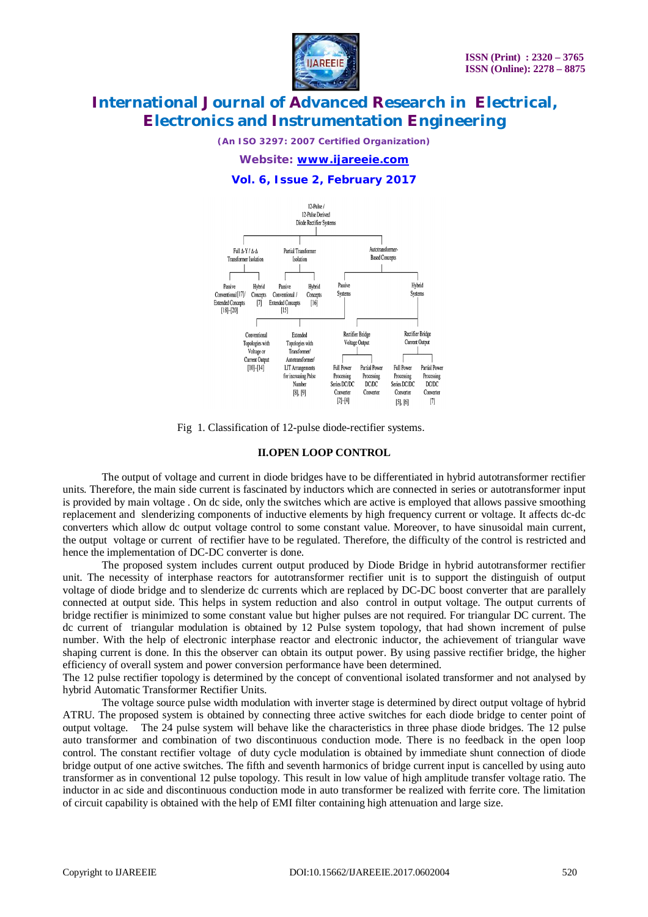

*(An ISO 3297: 2007 Certified Organization)*

*Website: [www.ijareeie.com](http://www.ijareeie.com)*

### **Vol. 6, Issue 2, February 2017**



Fig 1. Classification of 12-pulse diode-rectifier systems.

#### **II.OPEN LOOP CONTROL**

The output of voltage and current in diode bridges have to be differentiated in hybrid autotransformer rectifier units. Therefore, the main side current is fascinated by inductors which are connected in series or autotransformer input is provided by main voltage . On dc side, only the switches which are active is employed that allows passive smoothing replacement and slenderizing components of inductive elements by high frequency current or voltage. It affects dc-dc converters which allow dc output voltage control to some constant value. Moreover, to have sinusoidal main current, the output voltage or current of rectifier have to be regulated. Therefore, the difficulty of the control is restricted and hence the implementation of DC-DC converter is done.

The proposed system includes current output produced by Diode Bridge in hybrid autotransformer rectifier unit. The necessity of interphase reactors for autotransformer rectifier unit is to support the distinguish of output voltage of diode bridge and to slenderize dc currents which are replaced by DC-DC boost converter that are parallely connected at output side. This helps in system reduction and also control in output voltage. The output currents of bridge rectifier is minimized to some constant value but higher pulses are not required. For triangular DC current. The dc current of triangular modulation is obtained by 12 Pulse system topology, that had shown increment of pulse number. With the help of electronic interphase reactor and electronic inductor, the achievement of triangular wave shaping current is done. In this the observer can obtain its output power. By using passive rectifier bridge, the higher efficiency of overall system and power conversion performance have been determined.

The 12 pulse rectifier topology is determined by the concept of conventional isolated transformer and not analysed by hybrid Automatic Transformer Rectifier Units.

The voltage source pulse width modulation with inverter stage is determined by direct output voltage of hybrid ATRU. The proposed system is obtained by connecting three active switches for each diode bridge to center point of output voltage. The 24 pulse system will behave like the characteristics in three phase diode bridges. The 12 pulse auto transformer and combination of two discontinuous conduction mode. There is no feedback in the open loop control. The constant rectifier voltage of duty cycle modulation is obtained by immediate shunt connection of diode bridge output of one active switches. The fifth and seventh harmonics of bridge current input is cancelled by using auto transformer as in conventional 12 pulse topology. This result in low value of high amplitude transfer voltage ratio. The inductor in ac side and discontinuous conduction mode in auto transformer be realized with ferrite core. The limitation of circuit capability is obtained with the help of EMI filter containing high attenuation and large size.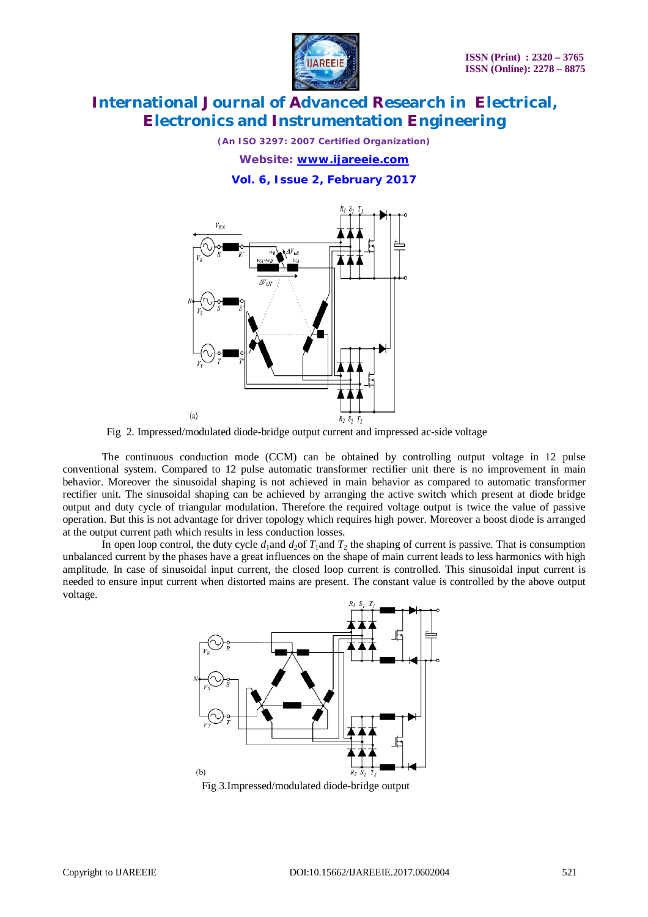

*(An ISO 3297: 2007 Certified Organization) Website: [www.ijareeie.com](http://www.ijareeie.com)*

**Vol. 6, Issue 2, February 2017**



Fig 2. Impressed/modulated diode-bridge output current and impressed ac-side voltage

The continuous conduction mode (CCM) can be obtained by controlling output voltage in 12 pulse conventional system. Compared to 12 pulse automatic transformer rectifier unit there is no improvement in main behavior. Moreover the sinusoidal shaping is not achieved in main behavior as compared to automatic transformer rectifier unit. The sinusoidal shaping can be achieved by arranging the active switch which present at diode bridge output and duty cycle of triangular modulation. Therefore the required voltage output is twice the value of passive operation. But this is not advantage for driver topology which requires high power. Moreover a boost diode is arranged at the output current path which results in less conduction losses.

In open loop control, the duty cycle  $d_1$  and  $d_2$  of  $T_1$  and  $T_2$  the shaping of current is passive. That is consumption unbalanced current by the phases have a great influences on the shape of main current leads to less harmonics with high amplitude. In case of sinusoidal input current, the closed loop current is controlled. This sinusoidal input current is needed to ensure input current when distorted mains are present. The constant value is controlled by the above output voltage.



Fig 3.Impressed/modulated diode-bridge output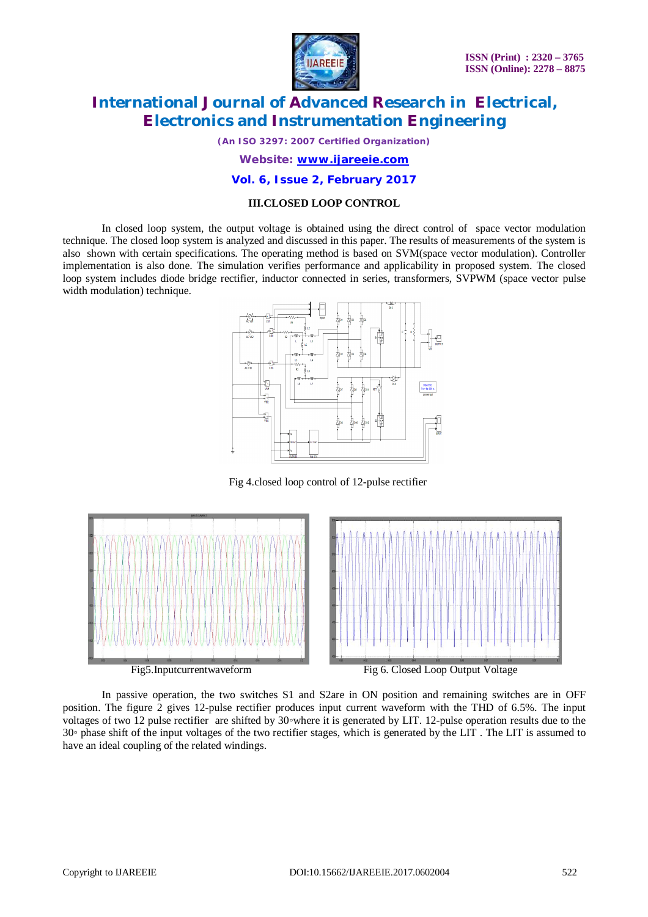

*(An ISO 3297: 2007 Certified Organization)*

*Website: [www.ijareeie.com](http://www.ijareeie.com)*

#### **Vol. 6, Issue 2, February 2017**

### **III.CLOSED LOOP CONTROL**

In closed loop system, the output voltage is obtained using the direct control of space vector modulation technique. The closed loop system is analyzed and discussed in this paper. The results of measurements of the system is also shown with certain specifications. The operating method is based on SVM(space vector modulation). Controller implementation is also done. The simulation verifies performance and applicability in proposed system. The closed loop system includes diode bridge rectifier, inductor connected in series, transformers, SVPWM (space vector pulse width modulation) technique.



Fig 4.closed loop control of 12-pulse rectifier



In passive operation, the two switches S1 and S2are in ON position and remaining switches are in OFF position. The figure 2 gives 12-pulse rectifier produces input current waveform with the THD of 6.5%. The input voltages of two 12 pulse rectifier are shifted by 30◦where it is generated by LIT. 12-pulse operation results due to the 30*◦* phase shift of the input voltages of the two rectifier stages, which is generated by the LIT . The LIT is assumed to have an ideal coupling of the related windings.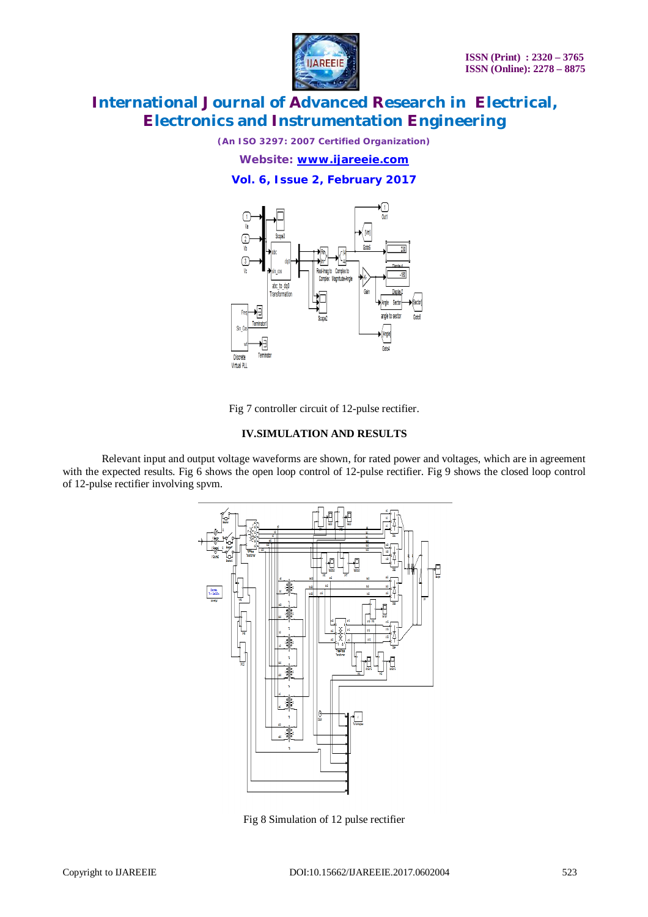

*(An ISO 3297: 2007 Certified Organization)*

*Website: [www.ijareeie.com](http://www.ijareeie.com)*

**Vol. 6, Issue 2, February 2017**



Fig 7 controller circuit of 12-pulse rectifier.

### **IV.SIMULATION AND RESULTS**

Relevant input and output voltage waveforms are shown, for rated power and voltages, which are in agreement with the expected results. Fig 6 shows the open loop control of 12-pulse rectifier. Fig 9 shows the closed loop control of 12-pulse rectifier involving spvm.



Fig 8 Simulation of 12 pulse rectifier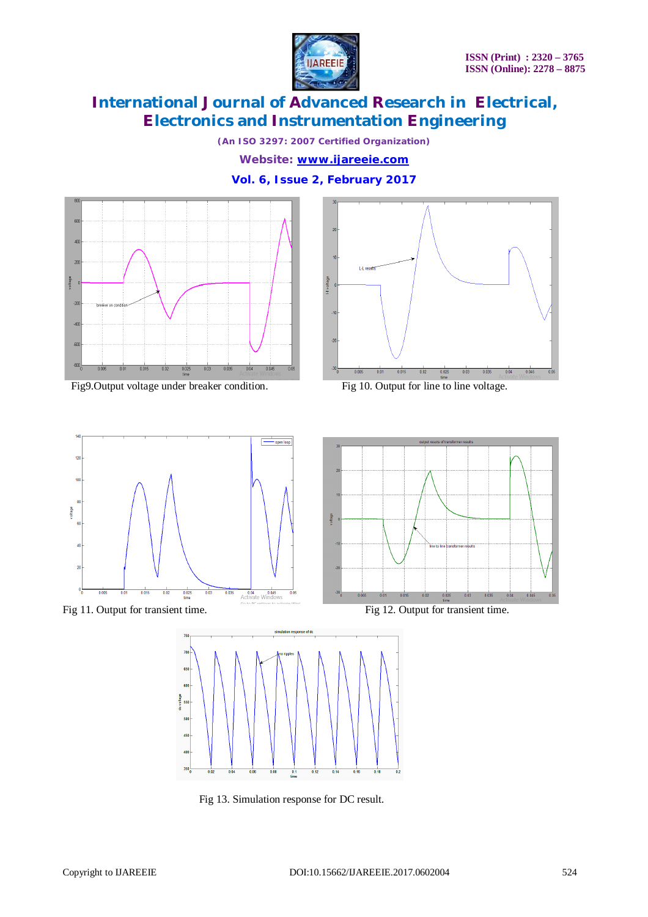

*(An ISO 3297: 2007 Certified Organization)*

*Website: [www.ijareeie.com](http://www.ijareeie.com)*

**Vol. 6, Issue 2, February 2017**



Fig9.Output voltage under breaker condition. Fig 10. Output for line to line voltage.











Fig 13. Simulation response for DC result.